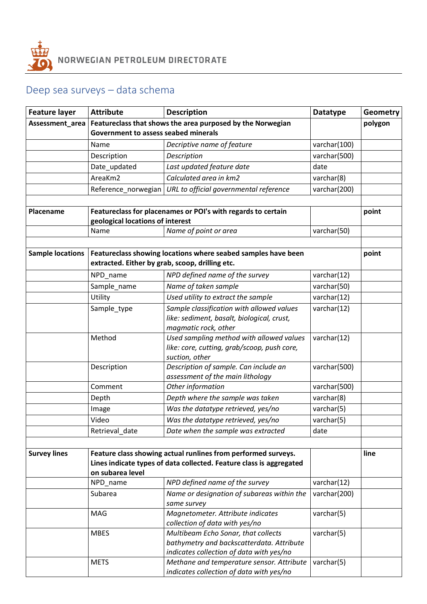

## Deep sea surveys – data schema

| <b>Feature layer</b>    | <b>Attribute</b>                                                    | <b>Description</b>                                                                    | <b>Datatype</b> | <b>Geometry</b> |
|-------------------------|---------------------------------------------------------------------|---------------------------------------------------------------------------------------|-----------------|-----------------|
| Assessment_area         |                                                                     | Featureclass that shows the area purposed by the Norwegian                            |                 | polygon         |
|                         | <b>Government to assess seabed minerals</b>                         |                                                                                       |                 |                 |
|                         | Name                                                                | Decriptive name of feature                                                            | varchar(100)    |                 |
|                         | Description                                                         | Description                                                                           | varchar(500)    |                 |
|                         | Date_updated                                                        | Last updated feature date                                                             | date            |                 |
|                         | AreaKm2                                                             | Calculated area in km2                                                                | varchar(8)      |                 |
|                         | Reference_norwegian                                                 | URL to official governmental reference                                                | varchar(200)    |                 |
|                         |                                                                     |                                                                                       |                 |                 |
| Placename               | Featureclass for placenames or POI's with regards to certain        |                                                                                       |                 | point           |
|                         | geological locations of interest                                    |                                                                                       |                 |                 |
|                         | Name                                                                | Name of point or area                                                                 | varchar(50)     |                 |
|                         |                                                                     |                                                                                       |                 |                 |
| <b>Sample locations</b> | Featureclass showing locations where seabed samples have been       |                                                                                       |                 | point           |
|                         | extracted. Either by grab, scoop, drilling etc.                     |                                                                                       |                 |                 |
|                         | NPD_name                                                            | NPD defined name of the survey                                                        | varchar(12)     |                 |
|                         | Sample_name                                                         | Name of taken sample                                                                  | varchar(50)     |                 |
|                         | Utility                                                             | Used utility to extract the sample                                                    | varchar(12)     |                 |
|                         | Sample type                                                         | Sample classification with allowed values                                             | varchar(12)     |                 |
|                         |                                                                     | like: sediment, basalt, biological, crust,                                            |                 |                 |
|                         |                                                                     | magmatic rock, other                                                                  |                 |                 |
|                         | Method                                                              | Used sampling method with allowed values                                              | varchar(12)     |                 |
|                         |                                                                     | like: core, cutting, grab/scoop, push core,                                           |                 |                 |
|                         |                                                                     | suction, other                                                                        |                 |                 |
|                         | Description                                                         | Description of sample. Can include an<br>assessment of the main lithology             | varchar(500)    |                 |
|                         | Comment                                                             | Other information                                                                     | varchar(500)    |                 |
|                         | Depth                                                               | Depth where the sample was taken                                                      | varchar(8)      |                 |
|                         | Image                                                               | Was the datatype retrieved, yes/no                                                    | varchar(5)      |                 |
|                         | Video                                                               | Was the datatype retrieved, yes/no                                                    | varchar(5)      |                 |
|                         | Retrieval_date                                                      | Date when the sample was extracted                                                    | date            |                 |
|                         |                                                                     |                                                                                       |                 |                 |
| <b>Survey lines</b>     | Feature class showing actual runlines from performed surveys.       |                                                                                       |                 | line            |
|                         | Lines indicate types of data collected. Feature class is aggregated |                                                                                       |                 |                 |
|                         | on subarea level                                                    |                                                                                       |                 |                 |
|                         | NPD_name                                                            | NPD defined name of the survey                                                        | varchar(12)     |                 |
|                         | Subarea                                                             | Name or designation of subareas within the                                            | varchar(200)    |                 |
|                         |                                                                     | same survey                                                                           |                 |                 |
|                         | MAG                                                                 | Magnetometer. Attribute indicates                                                     | varchar(5)      |                 |
|                         |                                                                     | collection of data with yes/no                                                        |                 |                 |
|                         | <b>MBES</b>                                                         | Multibeam Echo Sonar, that collects                                                   | varchar(5)      |                 |
|                         |                                                                     | bathymetry and backscatterdata. Attribute<br>indicates collection of data with yes/no |                 |                 |
|                         | <b>METS</b>                                                         | Methane and temperature sensor. Attribute                                             | varchar(5)      |                 |
|                         |                                                                     | indicates collection of data with yes/no                                              |                 |                 |